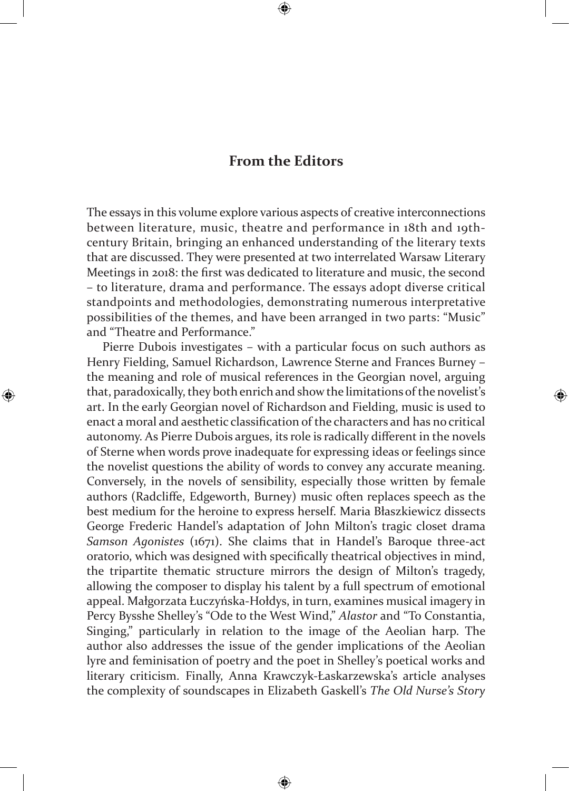## **From the Editors**

The essays in this volume explore various aspects of creative interconnections between literature, music, theatre and performance in 18th and 19thcentury Britain, bringing an enhanced understanding of the literary texts that are discussed. They were presented at two interrelated Warsaw Literary Meetings in 2018: the first was dedicated to literature and music, the second – to literature, drama and performance. The essays adopt diverse critical standpoints and methodologies, demonstrating numerous interpretative possibilities of the themes, and have been arranged in two parts: "Music" and "Theatre and Performance."

Pierre Dubois investigates – with a particular focus on such authors as Henry Fielding, Samuel Richardson, Lawrence Sterne and Frances Burney – the meaning and role of musical references in the Georgian novel, arguing that, paradoxically, they both enrich and show the limitations of the novelist's art. In the early Georgian novel of Richardson and Fielding, music is used to enact a moral and aesthetic classification of the characters and has no critical autonomy. As Pierre Dubois argues, its role is radically different in the novels of Sterne when words prove inadequate for expressing ideas or feelings since the novelist questions the ability of words to convey any accurate meaning. Conversely, in the novels of sensibility, especially those written by female authors (Radcliffe, Edgeworth, Burney) music often replaces speech as the best medium for the heroine to express herself. Maria Błaszkiewicz dissects George Frederic Handel's adaptation of John Milton's tragic closet drama *Samson Agonistes* (1671). She claims that in Handel's Baroque three-act oratorio, which was designed with specifically theatrical objectives in mind, the tripartite thematic structure mirrors the design of Milton's tragedy, allowing the composer to display his talent by a full spectrum of emotional appeal. Małgorzata Łuczyńska-Hołdys, in turn, examines musical imagery in Percy Bysshe Shelley's "Ode to the West Wind," *Alastor* and "To Constantia, Singing," particularly in relation to the image of the Aeolian harp. The author also addresses the issue of the gender implications of the Aeolian lyre and feminisation of poetry and the poet in Shelley's poetical works and literary criticism. Finally, Anna Krawczyk-Łaskarzewska's article analyses the complexity of soundscapes in Elizabeth Gaskell's *The Old Nurse's Story*